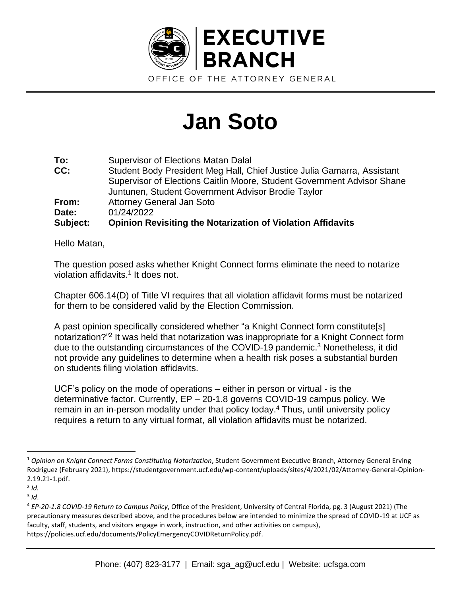

## **Jan Soto**

| To:      | <b>Supervisor of Elections Matan Dalal</b>                              |
|----------|-------------------------------------------------------------------------|
| CC:      | Student Body President Meg Hall, Chief Justice Julia Gamarra, Assistant |
|          | Supervisor of Elections Caitlin Moore, Student Government Advisor Shane |
|          | Juntunen, Student Government Advisor Brodie Taylor                      |
| From:    | <b>Attorney General Jan Soto</b>                                        |
| Date:    | 01/24/2022                                                              |
| Subject: | <b>Opinion Revisiting the Notarization of Violation Affidavits</b>      |

Hello Matan,

The question posed asks whether Knight Connect forms eliminate the need to notarize violation affidavits.<sup>1</sup> It does not.

Chapter 606.14(D) of Title VI requires that all violation affidavit forms must be notarized for them to be considered valid by the Election Commission.

A past opinion specifically considered whether "a Knight Connect form constitute[s] notarization?"<sup>2</sup> It was held that notarization was inappropriate for a Knight Connect form due to the outstanding circumstances of the COVID-19 pandemic. <sup>3</sup> Nonetheless, it did not provide any guidelines to determine when a health risk poses a substantial burden on students filing violation affidavits.

UCF's policy on the mode of operations – either in person or virtual - is the determinative factor. Currently, EP – 20-1.8 governs COVID-19 campus policy. We remain in an in-person modality under that policy today.<sup>4</sup> Thus, until university policy requires a return to any virtual format, all violation affidavits must be notarized.

<sup>1</sup> *Opinion on Knight Connect Forms Constituting Notarization*, Student Government Executive Branch, Attorney General Erving Rodriguez (February 2021), https://studentgovernment.ucf.edu/wp-content/uploads/sites/4/2021/02/Attorney-General-Opinion-2.19.21-1.pdf.

<sup>2</sup> *Id.*

<sup>3</sup> *Id*.

<sup>4</sup> *EP-20-1.8 COVID-19 Return to Campus Policy*, Office of the President, University of Central Florida, pg. 3 (August 2021) (The precautionary measures described above, and the procedures below are intended to minimize the spread of COVID-19 at UCF as faculty, staff, students, and visitors engage in work, instruction, and other activities on campus), https://policies.ucf.edu/documents/PolicyEmergencyCOVIDReturnPolicy.pdf.